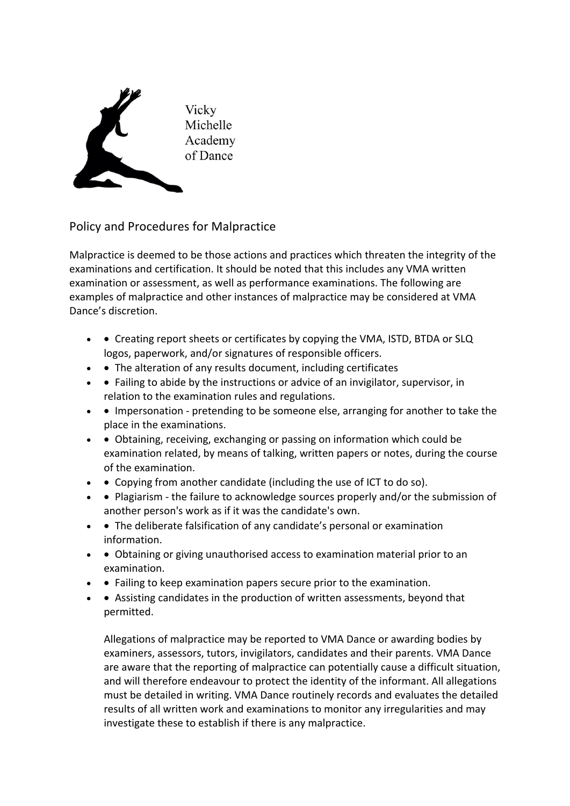

Policy and Procedures for Malpractice

Malpractice is deemed to be those actions and practices which threaten the integrity of the examinations and certification. It should be noted that this includes any VMA written examination or assessment, as well as performance examinations. The following are examples of malpractice and other instances of malpractice may be considered at VMA Dance's discretion.

- • Creating report sheets or certificates by copying the VMA, ISTD, BTDA or SLQ logos, paperwork, and/or signatures of responsible officers.
- • The alteration of any results document, including certificates
- • Failing to abide by the instructions or advice of an invigilator, supervisor, in relation to the examination rules and regulations.
- • Impersonation pretending to be someone else, arranging for another to take the place in the examinations.
- • Obtaining, receiving, exchanging or passing on information which could be examination related, by means of talking, written papers or notes, during the course of the examination.
- • Copying from another candidate (including the use of ICT to do so).
- • Plagiarism the failure to acknowledge sources properly and/or the submission of another person's work as if it was the candidate's own.
- • The deliberate falsification of any candidate's personal or examination information.
- • Obtaining or giving unauthorised access to examination material prior to an examination.
- • Failing to keep examination papers secure prior to the examination.
- • Assisting candidates in the production of written assessments, beyond that permitted.

Allegations of malpractice may be reported to VMA Dance or awarding bodies by examiners, assessors, tutors, invigilators, candidates and their parents. VMA Dance are aware that the reporting of malpractice can potentially cause a difficult situation, and will therefore endeavour to protect the identity of the informant. All allegations must be detailed in writing. VMA Dance routinely records and evaluates the detailed results of all written work and examinations to monitor any irregularities and may investigate these to establish if there is any malpractice.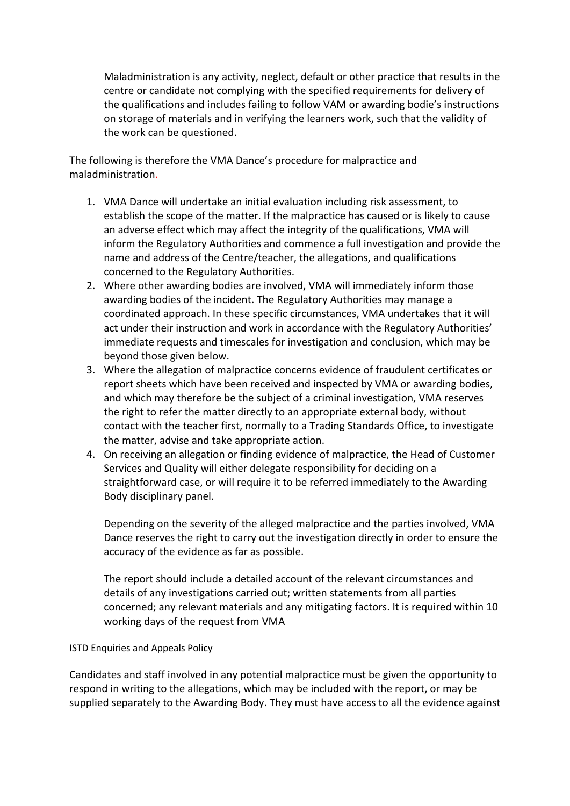Maladministration is any activity, neglect, default or other practice that results in the centre or candidate not complying with the specified requirements for delivery of the qualifications and includes failing to follow VAM or awarding bodie's instructions on storage of materials and in verifying the learners work, such that the validity of the work can be questioned.

The following is therefore the VMA Dance's procedure for malpractice and maladministration.

- 1. VMA Dance will undertake an initial evaluation including risk assessment, to establish the scope of the matter. If the malpractice has caused or is likely to cause an adverse effect which may affect the integrity of the qualifications, VMA will inform the Regulatory Authorities and commence a full investigation and provide the name and address of the Centre/teacher, the allegations, and qualifications concerned to the Regulatory Authorities.
- 2. Where other awarding bodies are involved, VMA will immediately inform those awarding bodies of the incident. The Regulatory Authorities may manage a coordinated approach. In these specific circumstances, VMA undertakes that it will act under their instruction and work in accordance with the Regulatory Authorities' immediate requests and timescales for investigation and conclusion, which may be beyond those given below.
- 3. Where the allegation of malpractice concerns evidence of fraudulent certificates or report sheets which have been received and inspected by VMA or awarding bodies, and which may therefore be the subject of a criminal investigation, VMA reserves the right to refer the matter directly to an appropriate external body, without contact with the teacher first, normally to a Trading Standards Office, to investigate the matter, advise and take appropriate action.
- 4. On receiving an allegation or finding evidence of malpractice, the Head of Customer Services and Quality will either delegate responsibility for deciding on a straightforward case, or will require it to be referred immediately to the Awarding Body disciplinary panel.

Depending on the severity of the alleged malpractice and the parties involved, VMA Dance reserves the right to carry out the investigation directly in order to ensure the accuracy of the evidence as far as possible.

The report should include a detailed account of the relevant circumstances and details of any investigations carried out; written statements from all parties concerned; any relevant materials and any mitigating factors. It is required within 10 working days of the request from VMA

## ISTD Enquiries and Appeals Policy

Candidates and staff involved in any potential malpractice must be given the opportunity to respond in writing to the allegations, which may be included with the report, or may be supplied separately to the Awarding Body. They must have access to all the evidence against